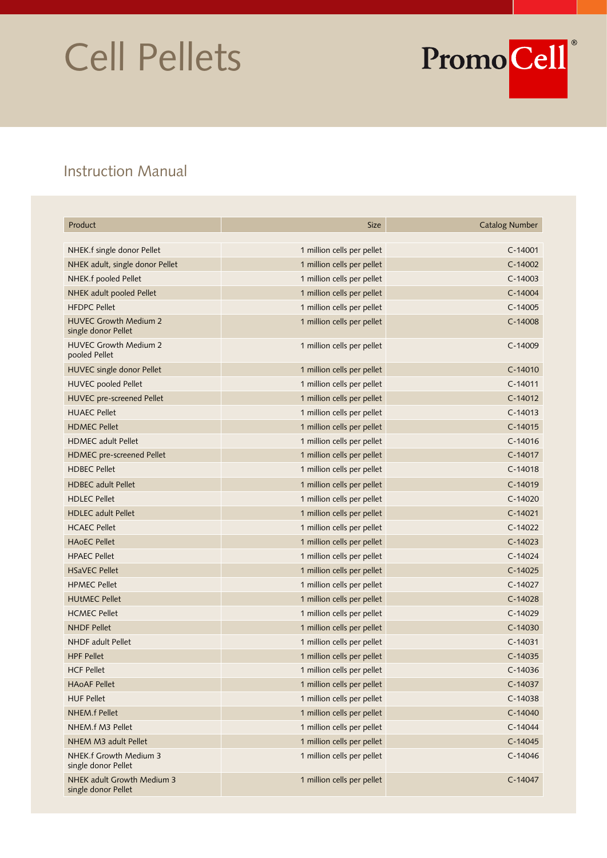# Cell Pellets



# Instruction Manual

| Product                                             | <b>Size</b>                | <b>Catalog Number</b> |
|-----------------------------------------------------|----------------------------|-----------------------|
| NHEK.f single donor Pellet                          | 1 million cells per pellet | $C-14001$             |
| NHEK adult, single donor Pellet                     | 1 million cells per pellet | $C-14002$             |
| NHEK.f pooled Pellet                                | 1 million cells per pellet | $C-14003$             |
| NHEK adult pooled Pellet                            | 1 million cells per pellet | $C-14004$             |
| <b>HFDPC Pellet</b>                                 | 1 million cells per pellet | $C-14005$             |
| <b>HUVEC Growth Medium 2</b><br>single donor Pellet | 1 million cells per pellet | $C-14008$             |
| <b>HUVEC Growth Medium 2</b><br>pooled Pellet       | 1 million cells per pellet | C-14009               |
| HUVEC single donor Pellet                           | 1 million cells per pellet | $C-14010$             |
| <b>HUVEC</b> pooled Pellet                          | 1 million cells per pellet | $C-14011$             |
| HUVEC pre-screened Pellet                           | 1 million cells per pellet | $C-14012$             |
| <b>HUAEC Pellet</b>                                 | 1 million cells per pellet | $C-14013$             |
| <b>HDMEC Pellet</b>                                 | 1 million cells per pellet | $C-14015$             |
| <b>HDMEC</b> adult Pellet                           | 1 million cells per pellet | $C-14016$             |
| HDMEC pre-screened Pellet                           | 1 million cells per pellet | $C-14017$             |
| <b>HDBEC Pellet</b>                                 | 1 million cells per pellet | $C-14018$             |
| <b>HDBEC</b> adult Pellet                           | 1 million cells per pellet | $C-14019$             |
| <b>HDLEC Pellet</b>                                 | 1 million cells per pellet | $C-14020$             |
| <b>HDLEC</b> adult Pellet                           | 1 million cells per pellet | $C-14021$             |
| <b>HCAEC Pellet</b>                                 | 1 million cells per pellet | $C-14022$             |
| <b>HAOEC Pellet</b>                                 | 1 million cells per pellet | $C-14023$             |
| <b>HPAEC Pellet</b>                                 | 1 million cells per pellet | $C-14024$             |
| <b>HSaVEC Pellet</b>                                | 1 million cells per pellet | $C-14025$             |
| <b>HPMEC Pellet</b>                                 | 1 million cells per pellet | $C-14027$             |
| <b>HUtMEC Pellet</b>                                | 1 million cells per pellet | $C-14028$             |
| <b>HCMEC Pellet</b>                                 | 1 million cells per pellet | $C-14029$             |
| <b>NHDF Pellet</b>                                  | 1 million cells per pellet | $C-14030$             |
| <b>NHDF</b> adult Pellet                            | 1 million cells per pellet | $C-14031$             |
| <b>HPF Pellet</b>                                   | 1 million cells per pellet | $C-14035$             |
| <b>HCF Pellet</b>                                   | 1 million cells per pellet | C-14036               |
| <b>HAOAF Pellet</b>                                 | 1 million cells per pellet | C-14037               |
| <b>HUF Pellet</b>                                   | 1 million cells per pellet | $C-14038$             |
| NHEM f Pellet                                       | 1 million cells per pellet | $C-14040$             |
| NHEM.f M3 Pellet                                    | 1 million cells per pellet | $C-14044$             |
| NHEM M3 adult Pellet                                | 1 million cells per pellet | $C-14045$             |
| NHEK.f Growth Medium 3<br>single donor Pellet       | 1 million cells per pellet | $C-14046$             |
| NHEK adult Growth Medium 3<br>single donor Pellet   | 1 million cells per pellet | C-14047               |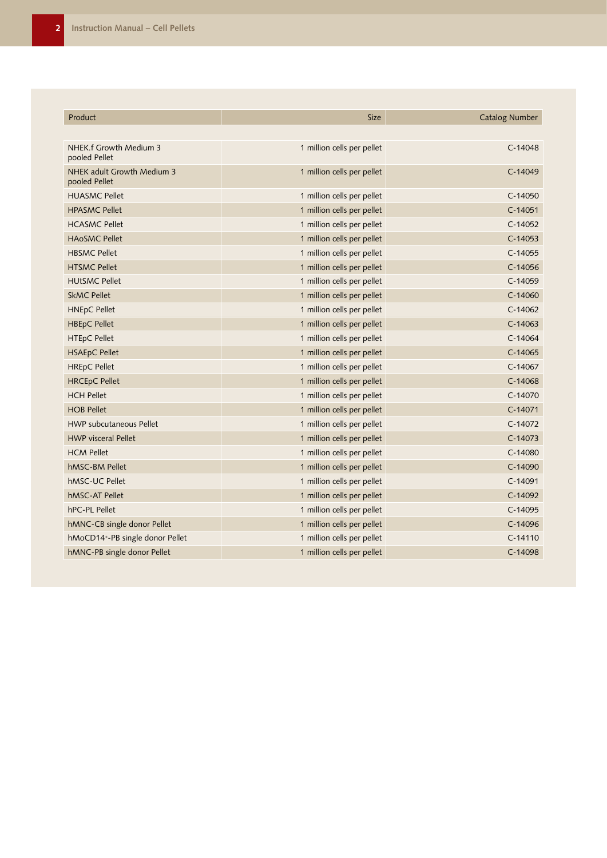| Product                                     | <b>Size</b>                | <b>Catalog Number</b> |
|---------------------------------------------|----------------------------|-----------------------|
|                                             |                            |                       |
| NHEK.f Growth Medium 3<br>pooled Pellet     | 1 million cells per pellet | $C-14048$             |
| NHEK adult Growth Medium 3<br>pooled Pellet | 1 million cells per pellet | $C-14049$             |
| <b>HUASMC Pellet</b>                        | 1 million cells per pellet | $C-14050$             |
| <b>HPASMC Pellet</b>                        | 1 million cells per pellet | $C-14051$             |
| <b>HCASMC Pellet</b>                        | 1 million cells per pellet | $C-14052$             |
| <b>HAOSMC Pellet</b>                        | 1 million cells per pellet | $C-14053$             |
| <b>HBSMC Pellet</b>                         | 1 million cells per pellet | $C-14055$             |
| <b>HTSMC Pellet</b>                         | 1 million cells per pellet | $C-14056$             |
| <b>HUtSMC Pellet</b>                        | 1 million cells per pellet | $C-14059$             |
| <b>SkMC Pellet</b>                          | 1 million cells per pellet | $C-14060$             |
| <b>HNEpC Pellet</b>                         | 1 million cells per pellet | $C-14062$             |
| <b>HBEpC Pellet</b>                         | 1 million cells per pellet | $C-14063$             |
| <b>HTEpC Pellet</b>                         | 1 million cells per pellet | $C-14064$             |
| <b>HSAEpC Pellet</b>                        | 1 million cells per pellet | $C-14065$             |
| <b>HREpC Pellet</b>                         | 1 million cells per pellet | $C-14067$             |
| <b>HRCEpC Pellet</b>                        | 1 million cells per pellet | $C-14068$             |
| <b>HCH Pellet</b>                           | 1 million cells per pellet | $C-14070$             |
| <b>HOB Pellet</b>                           | 1 million cells per pellet | $C-14071$             |
| <b>HWP subcutaneous Pellet</b>              | 1 million cells per pellet | $C-14072$             |
| <b>HWP</b> visceral Pellet                  | 1 million cells per pellet | $C-14073$             |
| <b>HCM Pellet</b>                           | 1 million cells per pellet | $C-14080$             |
| hMSC-BM Pellet                              | 1 million cells per pellet | $C-14090$             |
| hMSC-UC Pellet                              | 1 million cells per pellet | $C-14091$             |
| hMSC-AT Pellet                              | 1 million cells per pellet | C-14092               |
| hPC-PL Pellet                               | 1 million cells per pellet | $C-14095$             |
| hMNC-CB single donor Pellet                 | 1 million cells per pellet | $C-14096$             |
| hMoCD14+-PB single donor Pellet             | 1 million cells per pellet | $C-14110$             |
| hMNC-PB single donor Pellet                 | 1 million cells per pellet | $C-14098$             |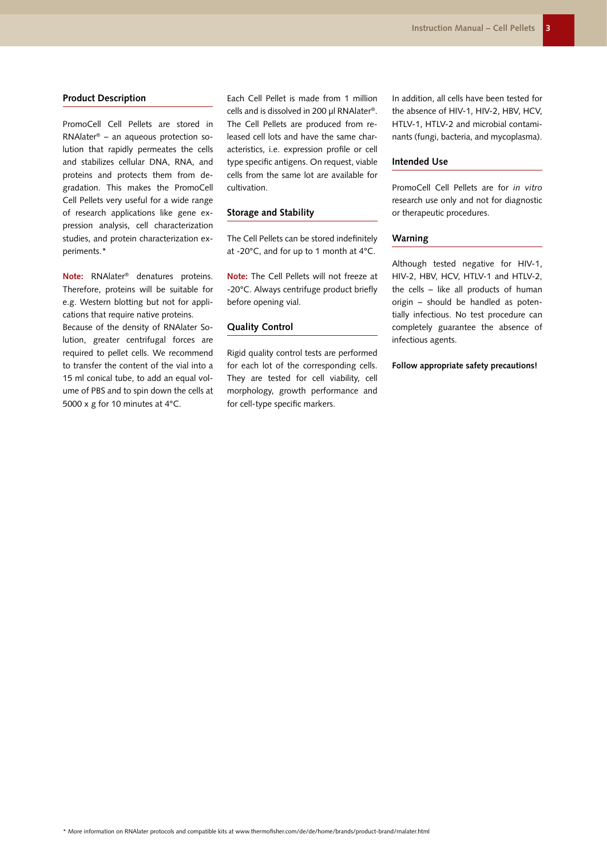#### **Product Description**

PromoCell Cell Pellets are stored in RNAlater® – an aqueous protection solution that rapidly permeates the cells and stabilizes cellular DNA, RNA, and proteins and protects them from degradation. This makes the PromoCell Cell Pellets very useful for a wide range of research applications like gene expression analysis, cell characterization studies, and protein characterization experiments.\*

**Note:** RNAlater® denatures proteins. Therefore, proteins will be suitable for e.g. Western blotting but not for applications that require native proteins.

Because of the density of RNAlater Solution, greater centrifugal forces are required to pellet cells. We recommend to transfer the content of the vial into a 15 ml conical tube, to add an equal volume of PBS and to spin down the cells at 5000 x g for 10 minutes at 4°C.

Each Cell Pellet is made from 1 million cells and is dissolved in 200 µl RNAlater®. The Cell Pellets are produced from released cell lots and have the same characteristics, i.e. expression profile or cell type specific antigens. On request, viable cells from the same lot are available for cultivation.

#### **Storage and Stability**

The Cell Pellets can be stored indefinitely at -20°C, and for up to 1 month at 4°C.

**Note:** The Cell Pellets will not freeze at -20°C. Always centrifuge product briefly before opening vial.

### **Quality Control**

Rigid quality control tests are performed for each lot of the corresponding cells. They are tested for cell viability, cell morphology, growth performance and for cell-type specific markers.

In addition, all cells have been tested for the absence of HIV-1, HIV-2, HBV, HCV, HTLV-1, HTLV-2 and microbial contaminants (fungi, bacteria, and mycoplasma).

# **Intended Use**

PromoCell Cell Pellets are for *in vitro*  research use only and not for diagnostic or therapeutic procedures.

## **Warning**

Although tested negative for HIV-1, HIV-2, HBV, HCV, HTLV-1 and HTLV-2, the cells – like all products of human origin – should be handled as potentially infectious. No test procedure can completely guarantee the absence of infectious agents.

#### **Follow appropriate safety precautions!**